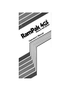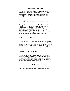## **COPYRIGHTS WARNING**

Orange Micro Inc. reserves all rights in all software, including the utilities disk of the RamPak 4GS, and in the Operators Manual. Any infringement of those copyrights will be prosecuted to the fullest extent allowed by the law.

# (German) **URHEBERRECHTLICHER HINWEIS**

Orange Micro Inc. behalt sich alle Rechte hinsichtlich der Software vor, einschlie Blich der Dienstprogramm-Diskette des RamPak4GS, sowie der im Bedienungshandbuch beschriebenen Software. Jegliche Verletzungen des diesbez~glichen Urheberrechtes (Copyright) werden im vollen AusmaB der anwendbaren Gesetze gerichtlich verfolgt.

(French) **AVIS**

Orange Micro Inc. se reserve tous les droits de logiciel, y compris ceux portant sur le disque utilitaire du RamPak 4GS ainsi que le Manuel d'utilisation du systeme. Toute violation de ces copyrights fera l'objet dune poursuite judiciaire dans toute Ia mesure autoris6e par Ia Ioi.

# (Spanish) **ADVERTENCIA**

Orange Micro Inc. se reserva todos los derechos de software, incluyendo los del disco utilitario RamPak 4GS y los del Manual del Operador. Cualquier violaci6n de estos derechos de autor sera procesada judicialmente en toda Ia medida permitida por Ia ley.

### **Trademarks**

Apple IIGS is a trademark of Apple Computer Inc.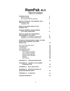# **RamPak 4GS OPERATOR'S MANUAL TABLE OF CONTENTS**

| <b>INTRODUCTION</b><br>What's in the Box<br>Two Levels of RamPak Operation                                                                                                                                                                                                         | $\mathbf 2$<br>$\mathbf 2$<br>$\overline{2}$                   |
|------------------------------------------------------------------------------------------------------------------------------------------------------------------------------------------------------------------------------------------------------------------------------------|----------------------------------------------------------------|
| <b>INSTALLATION OF THE RAMPAK INTO</b><br>THE APPLE IIGS<br><b>Installation Test</b>                                                                                                                                                                                               | 3<br>5                                                         |
| <b>INSTALLING RAM CHIPS IN THE</b><br><b>RAMPAK 4GS</b>                                                                                                                                                                                                                            | 5                                                              |
| <b>RAMPAK MEMORY MANAGEMENT</b><br><b>UTILITIES OVERVIEW</b>                                                                                                                                                                                                                       | 8                                                              |
| <b>INSTALLATION OF THE MEMORY</b><br><b>MANAGEMENT UTILITIES</b><br>Installation on a ProDOS 16 System Disk<br>Installation on a ProDOS 8 System Disk                                                                                                                              | 8<br>9<br>10                                                   |
| STARTUP PROCEDURES USING SYSTEM<br><b>DISKS WITH RAMPAK UTILITIES</b><br><b>INSTALLED</b>                                                                                                                                                                                          | 10                                                             |
| How to use Pull-Down Menus<br>The Apple Menu<br>The File Menu<br>The Diagnostics Menu<br>The Settings Menu<br>The Concept of Caching<br>The Concept of Statistics<br><b>Manual Cache Allocation</b><br><b>Dynamic Cache Allocation</b><br><b>Statistics</b><br><b>Abort Caches</b> | 11<br>12<br>12<br>13<br>14<br>14<br>16<br>16<br>17<br>18<br>18 |
| <b>APPENDIX A: TROUBLESHOOTING</b>                                                                                                                                                                                                                                                 | 19                                                             |
| <b>APPENDIX B: RAMPAK 4GS POWER</b><br><b>CONSUMPTION</b>                                                                                                                                                                                                                          | 20                                                             |
| APPENDIX C:  BITS AND BYTES                                                                                                                                                                                                                                                        | 20                                                             |
| <b>APPENDIX D: SPECIFICATIONS OF</b><br><b>RAM EXPANSION CHIPS</b>                                                                                                                                                                                                                 | 21                                                             |
| <b>APPENDIX E: GLOSSARY</b>                                                                                                                                                                                                                                                        | 21                                                             |
| <b>LIMITED WARRANTY</b>                                                                                                                                                                                                                                                            | 23                                                             |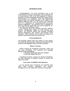# **INTRODUCTION**

<span id="page-3-0"></span>Congratulations! You have purchased one of the most powerful memory sub-systems ever developed for a microcomputer. With a full half-megabyte of memory standard, you will immediately expand your Apple IIGS to three-quarters of a megabyte more fully addressable memory than ever before available on an Apple II. By adding additional chips, you can expand your RamPak 4GS to 4 megabytes, for computing power previously beyond imagination. The RamPak 4GS is designed to work only with the Apple IIGS, and not the Apple lIe, IIc, or any other microcomputer system.

The RamPak 4GS also includes powerful software memory management utilities to help manage your system. The RamPak utilities disk provides complete memory diagnostics, disk caching, and dynamic cache allocation. These features can be used to multiply your system's performance level many times over.

#### **Acknowledgements**

The RamPak Utilities Disk was written by Dan Hickey. This RamPak 4GS Operator's Manual was composed and produced with **Ragtime** Page Processing Software.

#### **What's in the Box**

Before starting the installation procedure, make sure you have everything. Your RamPak 4GS package should contain the following:

- 1 RamPak 4GS board with 512K installed
- 1 RamPak Utilities Disk (3.5')

If anything is missing, contact your dealer immediately. No other hardware is required, except, of course, the Apple IIGS itself.

### **Two Levels of RAMPAK 4GS Operation**

As has already been mentioned, the RamPak 4GS offers both memory expansion and memory management for the Apple IIGS. Memory is expanded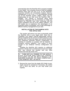<span id="page-4-0"></span>automatically when the RamPak 4GS is properly installed in your Apple. Your computer knows to look for available memory every time you turn it on, so the RamPak's expansion benefits are immediately realized. Memory management is up to you. It is accomplished through use of the RamPak system utilities, which may be implemented at any time once the RamPak 4GS is installed. This manual is structured along these guidelines, beginning with the procedure to install and expand the RamPak card, then continuing with the proper installation and use of the utilities software. This will enable you to experience the advantages of an expanded system immediately, and to take advantage of efficient memory management as you wish.

## **INSTALLATION OF THE RAMPAK INTO THE APPLE IIGS**

This section will instruct you how to physically install the RamPak 4GS in your Apple IIGS. Once this is completed, your Apple's internal addressable memory will be increased by the amount of RAM present on the RamPak 4GS. As both the Apple IIGS and the RamPak 4GS implement automatic memory configuration, no resetting of switches or jumpers will be required to recognize memory additions. Your system is smart enough to use whatever memory configuration you install.

Installing the RamPak 4GS requires no additional hardware. Simply clear a modest area around your Apple IIGS, and remove the monitor and any other devices from the top of the CPU.

**1. TURN OFF ALL POWER TO THE APPLE IIGS SYSTEM AND UNPLUG CORDS. FAILURE TO DO SO MAY RESULT IN SEVERE DAMAGE TO YOUR COMPUTER, THE RAMPAK 4GS, OR BOTH.**

2. Remove the cover from the Apple IIGS. Refer to your Apple manual for assistance if necessary. Be careful not to force any parts, as you may break your machine.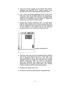- 3. Touch the power supply of the Apple IIGS before handling the RamPak 4GS. Static charges may damage your RAM or other delicate electronic parts.
- 4. If you have purchased additional RAM for the Ram Pak, this must be installed before the RamPak is installed in your Apple. Turn ahead to 'Installing RAM Chips in the RamPak 4GS on page 5, follow the instructions, and return to step 5 below.
- 5. Locate the memory expansion slot. You will notice that the IIGS contains a row of seven expansion slots, with an eighth slot set out-of-line at the far right front of the machine. This eighth slot is the memory expansion slot to be used by the RamPak 4GS.



**MEMORY EXPANSION SLOT**

- 6. The Ram Pak 4GS must be installed with the sloped end of the card nearest the front of the IIGS. (The card is designed with a slope for users who have upgraded from an Apple lIe, retaining their original system enclosure). With the card so positioned, place the 'RamPak 4GS directly into the memory expansion slot and press down with a firm rocking motion. Continue until the card is firmly seated.
- 7. Replace the Apple IIGS cover.
- 8. Re-attach any disconnected power and peripherals.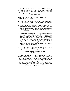<span id="page-6-0"></span>By following this procedure you will have properly installed the RamPak 4GS, and any software designed to use higher RAM levels will now automatically take advantage of your powerful new system. **Installation Test**

To be sure the RamPak 4GS is functioning properly, run the following short test:

- 1. With all drives empty, turn on the Apple IIGS. Press CTRL-RESET after the start-up cycle to generate a cursor.
- 2. When the cursor appears press CTRL-C-ESC (pressing all three keys together and releasing CTRL last) to open the IIGS Desk Accessory menu. Select Control Panel with the up and down arrow keys and press RETURN.
- 3. Select RAM DISK with the up and down arrow keys and press return. The screen will now display the available system memory and the amount available for the RAM disk. Your IIGS will not use its 256K internal RAM for the RAM disk, thus the difference. If installation has been successful and no other software is currently loaded, the number shown as available for the RAM disk should be that of your RamPak 4GS memory level.
- 4. Exit from Desk Accessories by selecting QUIT from any visible menu and pressing RETURN.

#### **INSTALLING RAM CHIPS IN THE RAMPAK 4GS**

Your RamPak 4GS comes standard with 512K of system memory installed at Orange Micro. While this is more than enough power to run most applications, you may have a requirement for larger amounts of RAM, or for performance reasons you may wish to load several programs or large spreadsheets into memory at the same time. Additionally, many innovative new applications implementing integrated graphics are available or under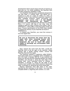development which require large amounts of memory to load and run. For these situations, the RamPak 4GS provides expansion capability to 4Mb.

Your RamPak 4GS has been specifically designed for use with 256K x 4 DRAM chips. This allows you to expand at a rate of 2 chips (or 256K) at a time, as opposed to the 8 chip minimum expansion required by other available products. When purchasing your expansion chips, specify: 256K x **4, one megabit DRAMS, 150 nanosecond (or faster),** or purchase your RAM expansion kits directly from Orange Micro. If it seems odd that 8 one meg' chips are needed to add one meg' of RAM to the system, refer to APPENDIX C, which offers a brief discussion of bits and bytes. Precise specifications of the RAM chips needed to expand the memory of your RamPak are found in APPENDIX D.

To expand your RamPak, you must first remove it from the Apple IIGS.

**Be sure to disconnect the power from the Apple IIGS, since removing boards with power on can severely damage your equipment. Be sure to touch the power supply to discharge any accumulated static electricity.**

Next, remove the cover from the IIGS. Locate the RamPak 4GS at the far right of the machine. Lifting upward with a gentle rocking motion, remove the RamPak 4GS from the Apple.

The RamPak expands in segments called BANKS. Each bank holds up to 1 megabyte when completed, so your first bank is already half full. If you examine the board you will see that the individual BANKS are clearly identified, zero through 3, along the right edge of the socket field. Each individual ROW of sockets is identified, A through G, along the left edge of the sockets. Each socket is also clearly marked in ascending order, Ul through U4, along the top of the socket field.

Memory expansion must take place in the order specified by the markings on the board. You must first complete BANK 0, beginning with sockets 1 & 2 and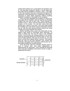ending with sockets 3 & 4, all of which are located in row A. You may then continue to BANK 1, row B, where the first chips will be installed in sockets 1 and 2. This rightto-left, top-to-bottom format is consistent throughout the expansion of the RamPak 4GS. Expanding in this way is necessary to allow RAM expansion without resetting switches or jumpers on the board or the computer.

Once you have identified the locations in which your new chips will be installed, note the notches (or dimples) molded into one end of each chip. These indicate the location of pin 1, which must be inserted into the proper location on the socket. You will also notice that each socket has a notch at one end. Your new chips should be installed such that all the above-mentioned notches line up, with the chip notches located nearest the serial number end of the RamPak 4GS board.

Before handling chips, touch any metal part of your Apple's back panel to discharge static electricity. To insert a RAM chip, first set the chip in the intended socket. If all the pins are resting properly in the socket, insert by pressing directly and evenly down on the chip until it is fully inserted. If the pins do not line up, you may have to bend them slightly before insertion. Very gently hold the chip by the pins between your thumb and forefinger and apply short squeezes until the pins are in the proper positions for socket insertion.

Once all of the chips are inserted, double check for bent or broken pins, and make adjustments or replacements as necessary. Then reinstall the RamPak 4GS using the installation instructions found on page 3, beginning with step 5.

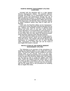#### <span id="page-9-0"></span>**RAMPAK MEMORY MANAGEMENT UTILITIES OVERVIEW**

Included with the RamPak 4GS is a disk labeled Memory Management Utilities. This powerful software package will enable you to substantially increase your systems speed and performance through the use of disk caching and Dynamic or Manual Cache Allocation. The RamPak Memory Management Utilities also provide RAM Diagnostics and Memory Status reporting, helping to detect problems before they lead to data loss or damage.

If you wish, the RamPak utilities can be 'transparent." The Dynamic Cache Allocation will automatically work for you, making your RamPak function at optimal levels without any extra work on your part. Using Dynamic Cache Allocation is recommended for most purposes. If, on the other hand, you wish to manually control the use of your RAM, then you may utilize the advanced power of the RamPak's Manual Cache Allocation features.

All of the RamPak utilities are driven through easy-tofollow pull-down menus, which can be manipulated by using the mouse. This chapter will provide step-by-step instructions on installation and use of each RamPak utility. Instructions on RAM disk use can be found in your Apple IIGS owner's manual.

#### **INSTALLATION OF THE RAMPAK MEMORY MANAGEMENT UTILITIES**

The following is an overview of the procedures for installing the RamPak Utilities on your Apple IIGS system disks. The RamPak Utilities may be installed on as many startup disks as you choose, since it is not copyprotected. It is highly advised that you immediately make a back-up disk of the RamPak Utilities disk, and regularly use the back-up disk to install the Utilities onto other disks. Retain the original RamPak Utilities Disk in case your back-up disk is damaged in any way. Please refer to your Apple IIGS owner's manual if you are not familiar with the the Apple IIGS or the procedures for installing files on Apple *IIGS* disks.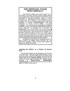# **VERY IMPORTANT: PLEASE READ CAREFULLY:**

<span id="page-10-0"></span>The RamPak Utilities work with ProDOS 16 or ProDOS 8, but they will **not** remain resident when your Apple IIGS switches between ProDOS 16 and ProDOS 8. Separate RamPak utilities for both ProDOS 16 and ProDOS 8 are provided on the Utilities disk. The ProDOS 8 version of the RamPak Utilities is named "**Cache.System**" and the ProDOS 16 version of the utilities is named "**Cache**." You must install the appropriate Rampak utility file on each startup disk, depending on whether your program is a ProDOS 16 or ProDOS 8 application. You should check the owner's manual of the application if you are not certain whether the program operates under ProDOS 8 or ProDOS 16. If you wish to continue to use your cache after switching operating systems, you will be required to reboot the Apple IIGS using the disk on which you have installed the appropriate RamPak Utilities.

Orange Micro will release an updated version of the ProDOS 16 utilities when ProDOS 16 2.0 becomes available. Please contact your dealer to obtain an update at that time.

### **Installing the Utilities on a ProDos 16 System Disk:**

The RamPak Utilities can be installed on any ProDos 16 system disk. Using the Apple IIGS Desktop or your own copy utility, copy the file "**Cache**" from the RamPak Utilities disk to the **"System.Setup"** directory of any ProDos 16 system disk. The path to the "System. Setup"<br>directory is "/**Name-of-your Disk/system/** is "/**Name-of-your Disk/system/ system.setup**". (Insert the actual name of your disk in place of "Name-of-your disk.")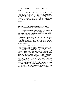### <span id="page-11-0"></span>**Installing the Utilities on a ProDOS 8 System Disk:**

To install the RamPak Utilities on any ProDOS 8 System Disk, use the Apple IIGS Desktop or your own copy utility to copy the file "**Cache.System**' from the RamPak Utilities disk as the first 'system" file on your ProDOS 8 system disk. The **"Cache. System"** file **must** be the first "system' file on your ProDOS 8 system disk.

## **STARTUP PROCEDURES USING SYSTEM DISKS WITH RAMPAK UTILITIES INSTALLED**

To use your RamPak Utilities after you have installed them on either a ProDOS 8 or ProDOS 16 system disk, just reboot your Apple IIGS with the appropriate system disk and run your application.

**NOTE:** If you are using the Pro DOS 8 version of the utilities, you will be asked to enter the path name of the next application after the cache utility has loaded. At this time press the carriage return key, then enter the name of your application.

The RamPak Utilities are now installed as an Apple IIGS Classic Desk Accessory, accessible virtually any time you are computing. To access the RamPak utilities, type CONTROL-d—ESC. This is done by first pressing the CONTROL key, holding it down, and pressing the and ESC keys at the same time. This is the standard procedure for entering the Apple IIGS Desk Accessory Menu. You will note that "RamPak Utilities" is listed as one of the selections. Using the UP and DOWN arrow keys, you will see a highlight bar moving within the menu. Highlight (or select) "RamPak Utilities" and hit RETURN. You will soon be presented with the RamPak Memory Management Utilities menu screen, from which you can utilitize the full power of the RamPak 4GS.

You may view the settings and statistics on the RamPak utilities at any time within the Desk Accessory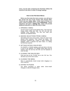<span id="page-12-0"></span>menu, but the disk containing the RamPak Utilities file must be in the drive in order to change settings.

#### **How to Use Pull-down Menus**

When you first enter the menu screen, you will see a bar across the top of the screen with several titles. These are your **menu titles.** Under each of these is a menu, which contains one or more **selections**. Some selections will open a **dialog box**, which will provide additional selections or allow the entry of data.

# 1. OPENING A MENU

Use the mouse to point at the desired menu. Then press the mouse button (click) and hold. You will now see the available menu selections. You may now make your selection, as explained below.

# 2. MAKING SELECTIONS FROM A MENU

Still holding down the mouse button, "drag" the arrow to the desired menu selection. Then release the button. This procedure, combined with 1 above, is called "clicking and dragging'. Either a selection has been made, or a dialog box has been opened.

#### 3. SETTINGS WITHIN A DIALOG BOX

For ON/OFF or YES/NO settings, point and click on the box in front of the selection. For settings where data must be entered, press the tab key and then use the keyboard to enter the data.

# 4. CLOSING THE DIALOG BOX

Point and click on the "CLOSE" box or the "OK" box. This will return you to the menu screen.

# 5. CLOSING THE MENU

Menu is automatically closed except when dragging to a menu selection.

# 6. EXITING TO ProDOS

Use above procedure to select either Done--Install Changes or Undo All Changes menu.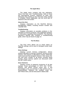<span id="page-13-0"></span>The Apple menu contains only two selections: About This Disk' and 'Troubleshooting.' Both of these are informational screens, requiring no other user interaction than clicking on the Close box when viewing is complete. Where applicable, use the scroll bars to advance to the next screen.

#### **About this Disk**

Displays information on the RamPak Memory Management Utilities, including revision number and copyright date.

#### **Troubleshooting**

Displays information on possible problems in the operation of memory products, and suggested solutions or information regarding these problems. This RamPak Operator's Manual also contains a troubleshooting guide, which may be found on page 19.

#### **The File Menu**

The FILE menu allows you to check status on RamPak settings, and to save or disregard newly made settings.

#### **Show Settings**

Displays current memory configuration. Shows whether allocation is manual or dynamic, amount of main memory, how memory is allocated to caches, RAM Disk cache pool and free program memory. Also shows the slot and drive number of all drives currently being cached. These memory options are discussed under the SETTINGS menu.

#### **Show Statistics**

Displays results of statistical monitoring of all disk Caches. Gives percentages of HITS over TOTAL READS, and shows current cache size. If this percentage is low, an increase in that cache's size is recommended. Statistics are enabled under the SETTINGS menu, and are discussed in detail under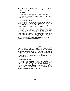<span id="page-14-0"></span>The Concept of Statistics," on page 16 of this Operator's Manual.

# **Undo All Changes**

Removes all settings made since last "DONE-- INSTALL CHANGES. Returns you to the Desk Accessory menu.

# **Done--Install Changes**

Exits from the RamPak utilities and returns to ProDOS, while installing all of your memory settings in your IIGS RAM. Your RamPak Memory Management Utilities disk MUST be in the drive to install.

This Menu will open a Dialog Box entitled 'Save Changes to Disk" which will allow you to select a memoryonly installation or a Save-To-Disk. Save-to-Disk installs the changes on the disk so that they will be remembered at the next time you run your program. You will be prompted for the path name of the disk to which you wish to save the currrent changes. (Refer to theProDOS manual for instructions on how to do this.)

# **The Diagnostics Menu**

Like any electronic component, RAM chips do have a potential to fail or to develop problems. If such occurrences go undetected, you may lose or corrupt your data. To help detect RAM problems before they cause damage, the RamPak Memory Management Utilities include two levels of testing, which can be executed either at the start of every session or on an "asrequested" basis.

### **Quick Memory Test**

Selects a superficial READ-WRITE test of all installed RAM. Any errors will be detected and reported by address location. The QUICK MEMORY TEST is good for general use, as it takes considerably less time than the EXTENDED MEMORY TEST, yet is highly reliable in detecting the existence of a problem.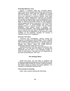## <span id="page-15-0"></span>**Extended Memory Test**

Selects a complete RAM test, including READ-WRITE test, test for proper RAM refresh, and a check for addressing errors. Bad chips are indicated by socket and row location (i.e. U4,D). In addition, all memory errors are reported by memory location. Bad chips generally require replacement. Remove the problem chip using a small screwdriver or other appropriate tool to pry the chip up, little by little, each end a little at a time. Refer to INSTALLING RAM CHIPS IN THE RAMPAK 4GS on page 5 for further instructions. The EXTENDED MEMORY TEST is recommended only when you suspect there is a memory problem, but the QUICK MEMORY TEST doesn't reveal a problem. The EXTENDED MEMORY TEST takes substantially more time to execute than the QUICK MEMORY TEST. The length of the test is dependent on the amount of RAM installed on the RamPak. Roughly 20 minutes is required to test a full 4 megabytes.

# **Execute Test Now**

Performs test immediately, without exiting the program or installing any other settings. This is valuable when seeking a specific problem. For running a test as part of your routine memory set-up, simply select the desired test before using the DONE--INSTALL CHANGES selection under the FILE menu.

Selecting Execute Test Now opens the Memory Test dialog box. You will have the option of running the requested test one time, a user specified number of times, or loop forever. The user can exit Diagnostics at any time by pressing the "ESC' key.

# **The Settings Menu**

Under this menu, you are able to configure the caching and statistical parameters of the RamPak, as well as allocate RAM among the various caching functions. But before setting up caches and using statistics, it is important to understand what they offer:

# **The Concept of Caching**

Often, users confuse caching with RAM disks,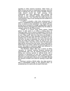spooling or other memory functions. Other times, no effort is even put forth to understand caching, since the idea of altering the way your system handles memory really doesn't sound too "safe" anyway. Once understood and used effectively, disk caching will become a very powerful system enhancement for virtually any user. Your RamPak 4GS utility may be the most powerful, easy to use caching tool ever written for a microcomputer.

A cache is actually a disk drive enhancement. A cache is established and assigned to a specific system drive, to which it is then dedicated. Your Apple IIGS can access up to 16 drives in a single configuration, and the RamPak Memory Management Utilities has the ability to maintain caches for all of these drives.

"Cache" is a French word which means "hiding place." A disk cache is, in effect, a hiding place for important data. Once a cache is established, it serves as an intelligent storage area for that drive, holding as much of your "often used" data from that drive as possible in the system RAM you have specified. It achieves this by keeping track of what data you use most when you use that drive. As data is requested, the cache will load that data into RAM and keep it there as long as you are accessing it often. Once the cache is full, the least-used data will be removed from the cache. Since data held in RAM loads in an instant, without the physical spinning of drives, this leads to maximum speed and efficiency in running applications and accessing files.

The RamPak utilities offer you a choice of either "dynamic" or "manual" caching. Dynamic caching will automatically take over all caching functions for you, letting your memory operate at optimal levels with a minimum of interaction on your part. Dynamic cache allocation is recommended for most caching purposes. Manual cache allocation allows you to manually allocate the amount of RAM to be used for caching in each disk drive.

Caching is strictly a READ utility. Any data saved to disk is immediately written to the physical drive, so accidental loss of a cache will not result in lost work.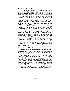# <span id="page-17-0"></span>**The Concept of Statistics**

The RamPak 4GS Statistics Utility offers the user the ability to view the efficiency of the current cache set-up at any time. It will allow the user to view such items as the number of reads, reads to cached blocks (also called a HIT), the percentage of reads to hits (the cache efficiency), the number of buffers allocated to any drive, and how many writes to disk have occurred. And by using the RESET STATISTICS COUNTER TO ZERO feature under the SETTINGS menu along with MANUAL CACHE ALLOCATION, the user can fine-tune the operation of the system.

To use the Statistics Utility, the user should simply boot the system, then go to the SETTINGS menu and select STATISTICS. Then reset the statistic counters to zero, run the application for a period of time, and return to the SHOW STATISTICS dialog box under the FILE menu to view the accumulated statistics. If the percentage of reads to hits is low, then the cache size should probably be increased. If the percentage of hits to reads is close to 100%, you may wish to decrease the cache size, especially if program memory is in short supply. It is recommended that a minimum of 8 blocks and a maximum of 64 blocks be allocated for each drive to be cached. These selections can be made from the MANUAL CACHE ALLOCATION dialog box, also in the SETTINGS menu.

# **Manual Cache Allocation**

This will open the Manual Cache Allocation dialog box, from which you control the use of your installed RAM. The upper portion of the box allows the setting of up to sixteen disk caches, one for each of the possible disk drives serving your Apple IIGS system. A box in the upper left indicates the drive for which a cache is currently being set (see in the diagram below). This box should be displaying a value between SØD1 and 57D2. This indicates the slot and drive numbers of the drive to be cached, as your Apple IIGS has eight logical slot locations, each of which can address two drives. To the immediate right of this box are up and down arrows

Using the mouse to click on these arrows enables you to change the drive selection. Further to the right is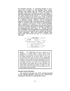<span id="page-18-0"></span>the ON/OFF selection .indicating whether or not a cache will be active on the specified drive. Again, pointing and clicking with the mouse will make the selection. After ON is selected, a cursor will appear in the DISK MAXIMUM CACHE SIZE box at the bottom of the cache section of the screen . Use the keyboard to enter the desired size of the cache. Click on the ON box a second time if you need to change the cache size to a different number. ("Blocks" are the recognized measure of disk storage. One block equals 512 bytes of RAM. A maximum size of 64 blocks is recommended, with a minimum of 8 blocks). In the TOTAL BUFFER POOL SIZE section of the screen you will notice that the amount of memory allocated to caching is updated as you designate disk cache sizes . Please note that the Total Buffer Pool Size defaults to automatically show the size of the current buffer pool, created via Dynamic Cache Alllocation. When the desired settings have been made, click on the "OK' box to return to the menu bar.



*NOTE:* The Total Buffer Pool Size is limited to 3.5 megabytes, or 65,535 buffers. During manual cache allocation, the Total Buffer Pool Size equals the sum of all the buffers allocated for all active drives. If this total exceeds 65,535, the display will show only the **difference** between the total number of buffers allocated and 65,535. In addition, the utility will only allocate this difference as the Total Buffer Pool Size. As a result, if the Total Buffer Pool Size displays fewer buffers than you have allocated, you should begin decreasing the number of buffers on each active drive until the Total Buffer Pool Size displays the sum of the buffers in all active drives.

### **Dynamic Cache Allocation**

This selection will take over all the caching functions of the manual allocation menu for you, dynamically updating the allocations as appropriate for your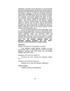<span id="page-19-0"></span>application. Dynamic Cache Allocation is recommended for most caching purposes. All that you manually need to allocate is the amount of RAM you wish to set aside for total system caching. A dialog box will appear asking for the number of **blocks** you wish to set aside as a total buffer pool size. One block equals 512 bytes of RAM. For example, 128 blocks equals 64K bytes of RAM. This memory will be unavailable to programs or other utilities. The default setting is 256 blocks, equaling 128K of RAM for caching. While the RamPak utilities default to specify that all drives will be dynamically allocated, the user may enable or disable the cache on specific disk drives, doing this by using the Dynamic Cache Allocation menu in the same manner as the Manual Cache Allocation menu.

As an example of Dynamic Cache Allocation, if you are running an application in which a large RAM cache would be beneficial on drive 2 and you currently have no cache specified there, the RamPak utility will automatically take RAM from other caches or from unused cache memory, and add it where it is needed. All Dynamic Cache Allocation is performed around your RAM disk. **All manual settings within the RamPak Utilities program are lost when Dynamic Cache Allocation is implemented.**

### **Statistics**

# RESET STATISTICS COUNTER TO ZERO

This selection resets statistic counters to zero. Sets Reads, Hits, % and Writes to Ø*.* This is useful for picking a starting point from which you can gather statistics about your cache.

### DISABLE STATISTICS DISPLAY

Prevents you from viewing the Statistics' dialog box.

# ENABLE STATISTICS DISPLAY

Enables you to view the Statistics" dialog box.

# **Abort Caches**

Disables caching on all disk drives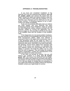<span id="page-20-0"></span>If you have just completed installation of the RamPak 4GS and are experiencing problems, **turn off all system power** and remove the board from the Apple. Restart the Apple and repeat whatever steps led to the initial failure to verify that the problem is in the RamPak card. Reinspect all the RAM pins for full and proper insertion. If everything appears to be in order, contact your dealer immediately.

If you are encountering difficulties that you believe are RAM related, and your RamPak has been functioning properly since installation, begin by running the RAM Diagnostic utilities software provided with the RamPak. Details on running this application can be found on page 13. This procedure will tell you the status of all installed RAM and the location of any problem chips.

If the Diagnostics do not reveal problem hardware, this may indicate an incompatibility with some part of your RAM management utilities. While most software is expected to work in the Apple IIGS environment, even if it was developed solely for the Apple lie, there is a possibility that this will not always be the case. If you are using your disk cache, RAM disk or any other RAM utility, like spooling, remove these utilities from operation and restart. If this solves your problem, it is probable that your software cannot run concurrently with one of the utilities in question. Re-install the utilities one at a time until the error re-appears. This will isolate the problem product combination. Contact the manufacturers of the utility and software for further instructions.

If this does not provide an answer, but you still believe your problem is in RAM, **turn all system power OFF** and remove the RamPak from the Apple. Restart the Apple and repeat the procedure that lead to the problem to verify that the problem is in the RamPak. If it is, call your dealer or Orange Micro for assistance. If your Apple still exhibits the problem without the RamPak installed, contact your Apple dealer for service.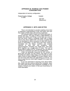# <span id="page-21-0"></span>**APPENDIX B: RAMPAK 4GS POWER CONSUMPTION**

Independent of memory configuration:

Power Supply Voltage Current 5 Volts

500 MA (Maximum)

# **APPENDIX C: BITS AND BYTES**

This is not intended to provide anything more than a superficial understanding of bits and bytes and how they relate to RAM chips and memory expansion.

All computer data is made up of zeros and ones, or yesses and nos. This type of data is called BINARY by people who define such things, as the data can come in only two forms. When a computer deals with a single zero or one, this is called a BIT. Of course, a system had to be developed to allow computers to deal with diverse forms of information, so that zeros and ones could be translated into the letters, numbers<br>required to deal with real prob required to deal with real problems. Most microcomputers, including your Apple IIGS, read eight BITS together as a single piece of data. This unit of binary data is called a BYTE. In general, you can think of a BYTE as a character and a BIT as a building block.

Chips are generally measured by the number of BITS they can hold. For this reason, the chips on your RamPak are called 1-Meg Chips, even though you need eight of them to add a MegaBYTE to your system. Since we now know that there are eight BITS in a BYTE, it is easy to see that you need eight megaBITS to make one megaBYTE.

If you are interested in learning more about RAM, Bits, Bytes and the science behind the computer, there are many good books and magazines available on the subject. Consult your dealer or visit your local library for more information.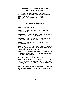# <span id="page-22-0"></span>**APPENDIX D: SPECIFICATIONS OF RAM EXPANSION CHIPS**

The technical specifications of the RAM chips used to expand the memory of the RamPak are as follows: **256K x 4, one megabit, 150 nanosecond (or faster), "CAS before RAS" refresh mode DRAMS.**

# **APPENDIX E: GLOSSARY**

**BANK:** 64K Bytes of memory.

**BLOCK:** A portion of data 512 bytes in length, as viewed from ProDos.

**BUFFER:** A designated area in RAM where a single ProDos block is stored if caching is active.

**BUFFER POOL:** A collection of contiguous buffers used by the cache program to store ProDos blocks.

**CACHE:** A storage area in RAM to eliminate disk access time for data.

**CELL INTEGRITY:** The ability of a RAM cell to accept and retain data, regardless of the data pattern or cell location. Also see DATA RETENTION.

**DATA RETENTION:** The ability of a RAM cell to retain data, without errors, when no memory accesses occur over a period of time.

**DRAM:** Dynamic Random Access Memory.

**DYNAMIC CACHE ALLOCATION:** Allows the program to allocate buffers from the buffer pool as required by the system. Additional buffers are automatically allocated to more frequently used drives.

**HIT:** An attempt to read a block from disk that has already been cached, thus finding the data in cache memory.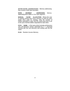**INTER-BANK ADDRESSING:** Memory addressing that crosses a 64K byte boundary.

**INTRA - SEGMENT ADDRESSING:** Memory addressing that is within a 256K byte segment.

**MANUAL CACHE ALLOCATION:** Allows the user to specify exactly how much memory is used for each active drive used for caching. Only the number of buffers specified is used, and the cache pool size is set to the sum of all the buffers requested for each drive.

**PATH NAME:** A file name which includes all directory and sub-directory names separated by a "/" character, starting with the root directory and ending with the file name.

**RAM:** Random Access Memory.